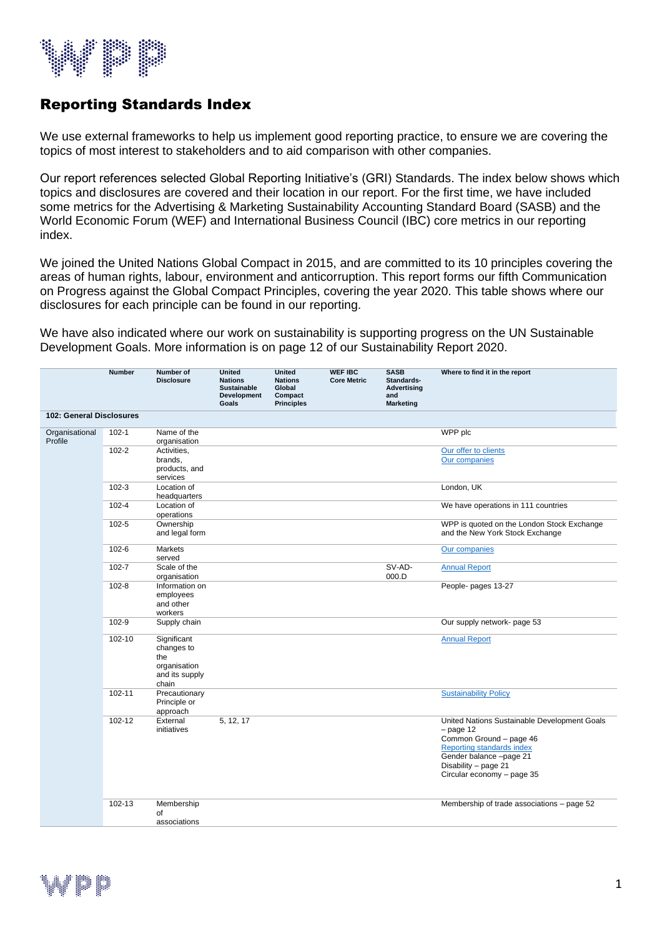

## Reporting Standards Index

We use external frameworks to help us implement good reporting practice, to ensure we are covering the topics of most interest to stakeholders and to aid comparison with other companies.

Our report references selected Global Reporting Initiative's (GRI) Standards. The index below shows which topics and disclosures are covered and their location in our report. For the first time, we have included some metrics for the Advertising & Marketing Sustainability Accounting Standard Board (SASB) and the World Economic Forum (WEF) and International Business Council (IBC) core metrics in our reporting index.

We joined the United Nations Global Compact in 2015, and are committed to its 10 principles covering the areas of human rights, labour, environment and anticorruption. This report forms our fifth Communication on Progress against the Global Compact Principles, covering the year 2020. This table shows where our disclosures for each principle can be found in our reporting.

We have also indicated where our work on sustainability is supporting progress on the UN Sustainable Development Goals. More information is on page 12 of our Sustainability Report 2020.

|                           | <b>Number</b> | Number of<br><b>Disclosure</b>                                              | <b>United</b><br><b>Nations</b><br><b>Sustainable</b><br><b>Development</b><br>Goals | <b>United</b><br><b>Nations</b><br>Global<br>Compact<br><b>Principles</b> | <b>WEF IBC</b><br><b>Core Metric</b> | <b>SASB</b><br>Standards-<br>Advertising<br>and<br>Marketing | Where to find it in the report                                                                                                                                                                       |
|---------------------------|---------------|-----------------------------------------------------------------------------|--------------------------------------------------------------------------------------|---------------------------------------------------------------------------|--------------------------------------|--------------------------------------------------------------|------------------------------------------------------------------------------------------------------------------------------------------------------------------------------------------------------|
| 102: General Disclosures  |               |                                                                             |                                                                                      |                                                                           |                                      |                                                              |                                                                                                                                                                                                      |
| Organisational<br>Profile | $102 - 1$     | Name of the<br>organisation                                                 |                                                                                      |                                                                           |                                      |                                                              | WPP plc                                                                                                                                                                                              |
|                           | $102 - 2$     | Activities,<br>brands,<br>products, and<br>services                         |                                                                                      |                                                                           |                                      |                                                              | Our offer to clients<br>Our companies                                                                                                                                                                |
|                           | $102 - 3$     | Location of<br>headquarters                                                 |                                                                                      |                                                                           |                                      |                                                              | London, UK                                                                                                                                                                                           |
|                           | $102 - 4$     | Location of<br>operations                                                   |                                                                                      |                                                                           |                                      |                                                              | We have operations in 111 countries                                                                                                                                                                  |
|                           | $102 - 5$     | Ownership<br>and legal form                                                 |                                                                                      |                                                                           |                                      |                                                              | WPP is quoted on the London Stock Exchange<br>and the New York Stock Exchange                                                                                                                        |
|                           | 102-6         | Markets<br>served                                                           |                                                                                      |                                                                           |                                      |                                                              | Our companies                                                                                                                                                                                        |
|                           | $102 - 7$     | Scale of the<br>organisation                                                |                                                                                      |                                                                           |                                      | SV-AD-<br>000.D                                              | <b>Annual Report</b>                                                                                                                                                                                 |
|                           | $102 - 8$     | Information on<br>employees<br>and other<br>workers                         |                                                                                      |                                                                           |                                      |                                                              | People- pages 13-27                                                                                                                                                                                  |
|                           | 102-9         | Supply chain                                                                |                                                                                      |                                                                           |                                      |                                                              | Our supply network- page 53                                                                                                                                                                          |
|                           | 102-10        | Significant<br>changes to<br>the<br>organisation<br>and its supply<br>chain |                                                                                      |                                                                           |                                      |                                                              | <b>Annual Report</b>                                                                                                                                                                                 |
|                           | 102-11        | Precautionary<br>Principle or<br>approach                                   |                                                                                      |                                                                           |                                      |                                                              | <b>Sustainability Policy</b>                                                                                                                                                                         |
|                           | 102-12        | External<br>initiatives                                                     | 5, 12, 17                                                                            |                                                                           |                                      |                                                              | United Nations Sustainable Development Goals<br>$-$ page 12<br>Common Ground - page 46<br>Reporting standards index<br>Gender balance -page 21<br>Disability - page 21<br>Circular economy - page 35 |
|                           | 102-13        | Membership<br>of<br>associations                                            |                                                                                      |                                                                           |                                      |                                                              | Membership of trade associations - page 52                                                                                                                                                           |
|                           |               |                                                                             |                                                                                      |                                                                           |                                      |                                                              |                                                                                                                                                                                                      |

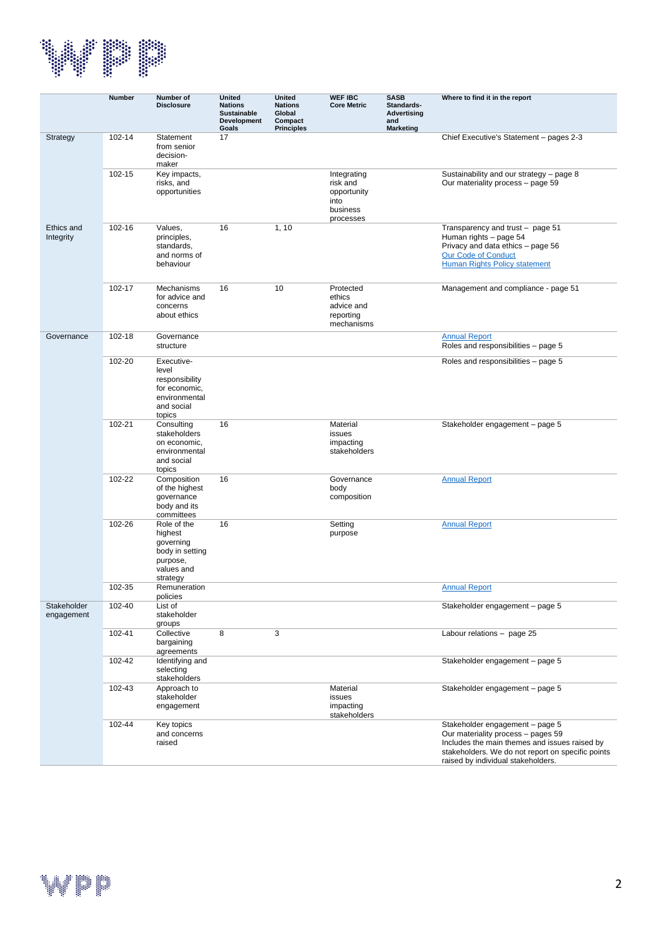

|                           | <b>Number</b> | Number of<br><b>Disclosure</b>                                                                  | <b>United</b><br><b>Nations</b><br><b>Sustainable</b><br>Development<br>Goals | <b>United</b><br><b>Nations</b><br>Global<br>Compact<br><b>Principles</b> | <b>WEF IBC</b><br><b>Core Metric</b>                                    | <b>SASB</b><br>Standards-<br><b>Advertising</b><br>and<br><b>Marketing</b> | Where to find it in the report                                                                                                                                                                                    |
|---------------------------|---------------|-------------------------------------------------------------------------------------------------|-------------------------------------------------------------------------------|---------------------------------------------------------------------------|-------------------------------------------------------------------------|----------------------------------------------------------------------------|-------------------------------------------------------------------------------------------------------------------------------------------------------------------------------------------------------------------|
| Strategy                  | 102-14        | Statement<br>from senior<br>decision-<br>maker                                                  | 17                                                                            |                                                                           |                                                                         |                                                                            | Chief Executive's Statement - pages 2-3                                                                                                                                                                           |
|                           | 102-15        | Key impacts,<br>risks, and<br>opportunities                                                     |                                                                               |                                                                           | Integrating<br>risk and<br>opportunity<br>into<br>business<br>processes |                                                                            | Sustainability and our strategy - page 8<br>Our materiality process - page 59                                                                                                                                     |
| Ethics and<br>Integrity   | 102-16        | Values,<br>principles,<br>standards,<br>and norms of<br>behaviour                               | 16                                                                            | 1, 10                                                                     |                                                                         |                                                                            | Transparency and trust - page 51<br>Human rights - page 54<br>Privacy and data ethics - page 56<br><b>Our Code of Conduct</b><br><b>Human Rights Policy statement</b>                                             |
|                           | 102-17        | Mechanisms<br>for advice and<br>concerns<br>about ethics                                        | 16                                                                            | 10                                                                        | Protected<br>ethics<br>advice and<br>reporting<br>mechanisms            |                                                                            | Management and compliance - page 51                                                                                                                                                                               |
| Governance                | 102-18        | Governance<br>structure                                                                         |                                                                               |                                                                           |                                                                         |                                                                            | <b>Annual Report</b><br>Roles and responsibilities - page 5                                                                                                                                                       |
|                           | 102-20        | Executive-<br>level<br>responsibility<br>for economic,<br>environmental<br>and social<br>topics |                                                                               |                                                                           |                                                                         |                                                                            | Roles and responsibilities - page 5                                                                                                                                                                               |
|                           | 102-21        | Consulting<br>stakeholders<br>on economic,<br>environmental<br>and social<br>topics             | 16                                                                            |                                                                           | Material<br>issues<br>impacting<br>stakeholders                         |                                                                            | Stakeholder engagement - page 5                                                                                                                                                                                   |
|                           | 102-22        | Composition<br>of the highest<br>governance<br>body and its<br>committees                       | 16                                                                            |                                                                           | Governance<br>body<br>composition                                       |                                                                            | <b>Annual Report</b>                                                                                                                                                                                              |
|                           | 102-26        | Role of the<br>highest<br>governing<br>body in setting<br>purpose,<br>values and<br>strategy    | 16                                                                            |                                                                           | Setting<br>purpose                                                      |                                                                            | <b>Annual Report</b>                                                                                                                                                                                              |
|                           | 102-35        | Remuneration<br>policies                                                                        |                                                                               |                                                                           |                                                                         |                                                                            | <b>Annual Report</b>                                                                                                                                                                                              |
| Stakeholder<br>engagement | 102-40        | List of<br>stakeholder<br>groups                                                                |                                                                               |                                                                           |                                                                         |                                                                            | Stakeholder engagement - page 5                                                                                                                                                                                   |
|                           | 102-41        | Collective<br>bargaining<br>agreements                                                          | 8                                                                             | 3                                                                         |                                                                         |                                                                            | Labour relations - page 25                                                                                                                                                                                        |
|                           | 102-42        | Identifying and<br>selecting<br>stakeholders                                                    |                                                                               |                                                                           |                                                                         |                                                                            | Stakeholder engagement - page 5                                                                                                                                                                                   |
|                           | 102-43        | Approach to<br>stakeholder<br>engagement                                                        |                                                                               |                                                                           | Material<br>issues<br>impacting<br>stakeholders                         |                                                                            | Stakeholder engagement - page 5                                                                                                                                                                                   |
|                           | 102-44        | Key topics<br>and concerns<br>raised                                                            |                                                                               |                                                                           |                                                                         |                                                                            | Stakeholder engagement - page 5<br>Our materiality process - pages 59<br>Includes the main themes and issues raised by<br>stakeholders. We do not report on specific points<br>raised by individual stakeholders. |

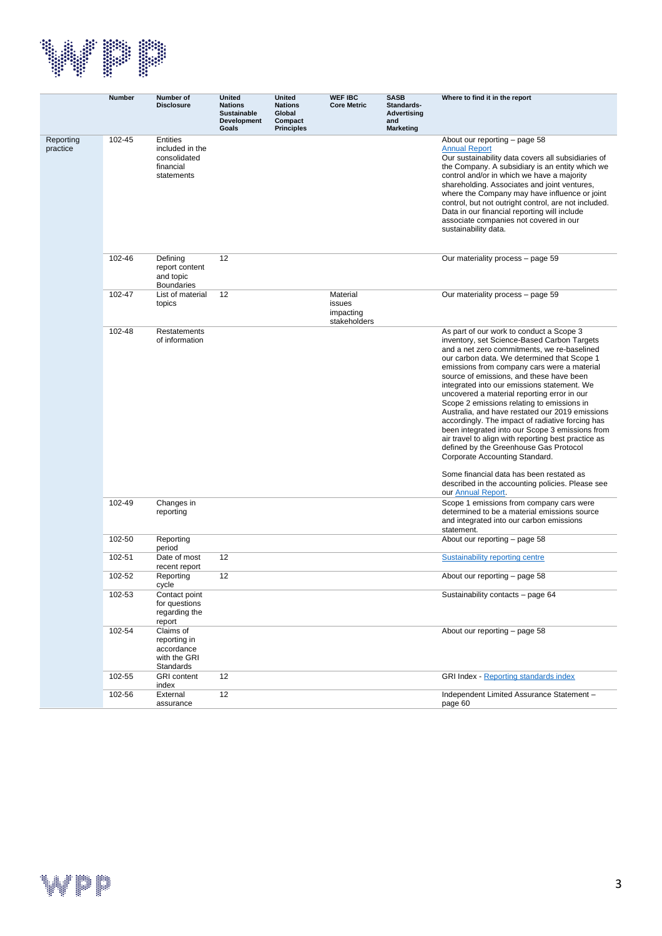

|                       | <b>Number</b> | Number of<br><b>Disclosure</b>                                                | <b>United</b><br><b>Nations</b><br><b>Sustainable</b><br>Development<br>Goals | <b>United</b><br><b>Nations</b><br>Global<br>Compact<br><b>Principles</b> | <b>WEF IBC</b><br><b>Core Metric</b>            | <b>SASB</b><br>Standards-<br>Advertising<br>and<br><b>Marketing</b> | Where to find it in the report                                                                                                                                                                                                                                                                                                                                                                                                                                                                                                                                                                                                                                                                                                                                                                                                                  |
|-----------------------|---------------|-------------------------------------------------------------------------------|-------------------------------------------------------------------------------|---------------------------------------------------------------------------|-------------------------------------------------|---------------------------------------------------------------------|-------------------------------------------------------------------------------------------------------------------------------------------------------------------------------------------------------------------------------------------------------------------------------------------------------------------------------------------------------------------------------------------------------------------------------------------------------------------------------------------------------------------------------------------------------------------------------------------------------------------------------------------------------------------------------------------------------------------------------------------------------------------------------------------------------------------------------------------------|
| Reporting<br>practice | 102-45        | <b>Entities</b><br>included in the<br>consolidated<br>financial<br>statements |                                                                               |                                                                           |                                                 |                                                                     | About our reporting – page 58<br><b>Annual Report</b><br>Our sustainability data covers all subsidiaries of<br>the Company. A subsidiary is an entity which we<br>control and/or in which we have a majority<br>shareholding. Associates and joint ventures,<br>where the Company may have influence or joint<br>control, but not outright control, are not included.<br>Data in our financial reporting will include<br>associate companies not covered in our<br>sustainability data.                                                                                                                                                                                                                                                                                                                                                         |
|                       | 102-46        | Defining<br>report content<br>and topic<br><b>Boundaries</b>                  | 12                                                                            |                                                                           |                                                 |                                                                     | Our materiality process – page 59                                                                                                                                                                                                                                                                                                                                                                                                                                                                                                                                                                                                                                                                                                                                                                                                               |
|                       | 102-47        | List of material<br>topics                                                    | 12                                                                            |                                                                           | Material<br>issues<br>impacting<br>stakeholders |                                                                     | Our materiality process – page 59                                                                                                                                                                                                                                                                                                                                                                                                                                                                                                                                                                                                                                                                                                                                                                                                               |
|                       | 102-48        | Restatements<br>of information                                                |                                                                               |                                                                           |                                                 |                                                                     | As part of our work to conduct a Scope 3<br>inventory, set Science-Based Carbon Targets<br>and a net zero commitments, we re-baselined<br>our carbon data. We determined that Scope 1<br>emissions from company cars were a material<br>source of emissions, and these have been<br>integrated into our emissions statement. We<br>uncovered a material reporting error in our<br>Scope 2 emissions relating to emissions in<br>Australia, and have restated our 2019 emissions<br>accordingly. The impact of radiative forcing has<br>been integrated into our Scope 3 emissions from<br>air travel to align with reporting best practice as<br>defined by the Greenhouse Gas Protocol<br>Corporate Accounting Standard.<br>Some financial data has been restated as<br>described in the accounting policies. Please see<br>our Annual Report. |
|                       | 102-49        | Changes in<br>reporting                                                       |                                                                               |                                                                           |                                                 |                                                                     | Scope 1 emissions from company cars were<br>determined to be a material emissions source<br>and integrated into our carbon emissions<br>statement.                                                                                                                                                                                                                                                                                                                                                                                                                                                                                                                                                                                                                                                                                              |
|                       | 102-50        | Reporting<br>period                                                           |                                                                               |                                                                           |                                                 |                                                                     | About our reporting - page 58                                                                                                                                                                                                                                                                                                                                                                                                                                                                                                                                                                                                                                                                                                                                                                                                                   |
|                       | 102-51        | Date of most<br>recent report                                                 | 12                                                                            |                                                                           |                                                 |                                                                     | <b>Sustainability reporting centre</b>                                                                                                                                                                                                                                                                                                                                                                                                                                                                                                                                                                                                                                                                                                                                                                                                          |
|                       | 102-52        | Reporting<br>cycle                                                            | 12                                                                            |                                                                           |                                                 |                                                                     | About our reporting - page 58                                                                                                                                                                                                                                                                                                                                                                                                                                                                                                                                                                                                                                                                                                                                                                                                                   |
|                       | 102-53        | Contact point<br>for questions<br>regarding the<br>report                     |                                                                               |                                                                           |                                                 |                                                                     | Sustainability contacts - page 64                                                                                                                                                                                                                                                                                                                                                                                                                                                                                                                                                                                                                                                                                                                                                                                                               |
|                       | 102-54        | Claims of<br>reporting in<br>accordance<br>with the GRI<br>Standards          |                                                                               |                                                                           |                                                 |                                                                     | About our reporting - page 58                                                                                                                                                                                                                                                                                                                                                                                                                                                                                                                                                                                                                                                                                                                                                                                                                   |
|                       | 102-55        | <b>GRI</b> content<br>index                                                   | 12                                                                            |                                                                           |                                                 |                                                                     | <b>GRI Index - Reporting standards index</b>                                                                                                                                                                                                                                                                                                                                                                                                                                                                                                                                                                                                                                                                                                                                                                                                    |
|                       | 102-56        | External<br>assurance                                                         | 12                                                                            |                                                                           |                                                 |                                                                     | Independent Limited Assurance Statement -<br>page 60                                                                                                                                                                                                                                                                                                                                                                                                                                                                                                                                                                                                                                                                                                                                                                                            |

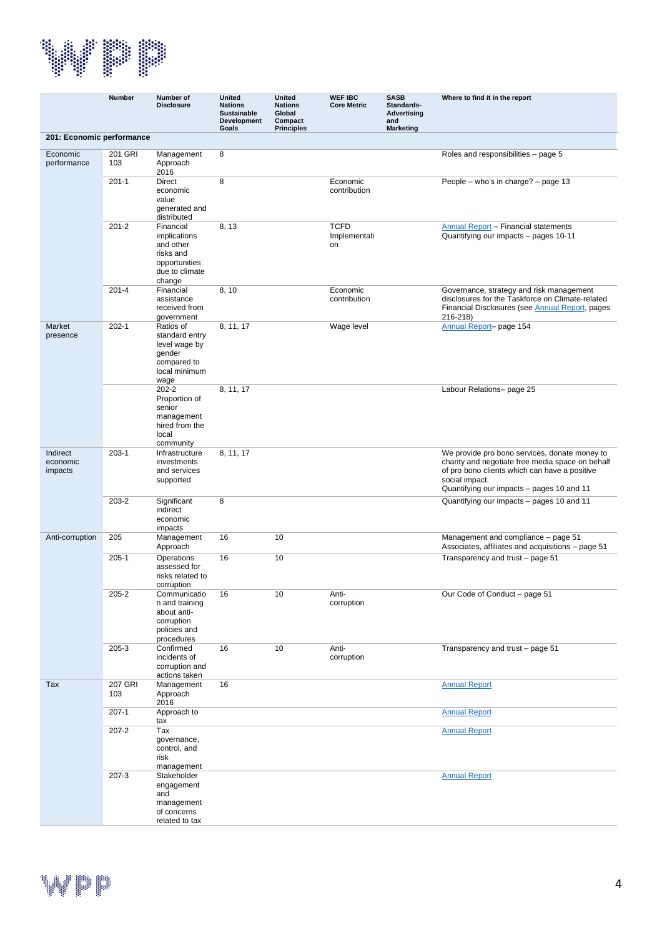

|                                 | <b>Number</b>         | Number of<br><b>Disclosure</b>                                                                   | <b>United</b><br><b>Nations</b><br><b>Sustainable</b><br>Development<br>Goals | <b>United</b><br><b>Nations</b><br>Global<br>Compact<br><b>Principles</b> | <b>WEF IBC</b><br><b>Core Metric</b> | <b>SASB</b><br>Standards-<br><b>Advertising</b><br>and<br><b>Marketing</b> | Where to find it in the report                                                                                                                                                                                    |
|---------------------------------|-----------------------|--------------------------------------------------------------------------------------------------|-------------------------------------------------------------------------------|---------------------------------------------------------------------------|--------------------------------------|----------------------------------------------------------------------------|-------------------------------------------------------------------------------------------------------------------------------------------------------------------------------------------------------------------|
| 201: Economic performance       |                       |                                                                                                  |                                                                               |                                                                           |                                      |                                                                            |                                                                                                                                                                                                                   |
| Economic<br>performance         | 201 GRI<br>103        | Management<br>Approach<br>2016                                                                   | 8                                                                             |                                                                           |                                      |                                                                            | Roles and responsibilities - page 5                                                                                                                                                                               |
|                                 | $201 - 1$             | <b>Direct</b><br>economic<br>value<br>generated and<br>distributed                               | 8                                                                             |                                                                           | Economic<br>contribution             |                                                                            | People - who's in charge? - page 13                                                                                                                                                                               |
|                                 | $201 - 2$             | Financial<br>implications<br>and other<br>risks and<br>opportunities<br>due to climate<br>change | 8, 13                                                                         |                                                                           | <b>TCFD</b><br>Implementati<br>on    |                                                                            | <b>Annual Report - Financial statements</b><br>Quantifying our impacts - pages 10-11                                                                                                                              |
|                                 | $201 - 4$             | Financial<br>assistance<br>received from<br>government                                           | 8, 10                                                                         |                                                                           | Economic<br>contribution             |                                                                            | Governance, strategy and risk management<br>disclosures for the Taskforce on Climate-related<br>Financial Disclosures (see Annual Report, pages<br>216-218)                                                       |
| Market<br>presence              | $202 - 1$             | Ratios of<br>standard entry<br>level wage by<br>gender<br>compared to<br>local minimum<br>wage   | 8, 11, 17                                                                     |                                                                           | Wage level                           |                                                                            | Annual Report- page 154                                                                                                                                                                                           |
|                                 |                       | $202 - 2$<br>Proportion of<br>senior<br>management<br>hired from the<br>local<br>community       | 8, 11, 17                                                                     |                                                                           |                                      |                                                                            | Labour Relations- page 25                                                                                                                                                                                         |
| Indirect<br>economic<br>impacts | $203-1$               | Infrastructure<br>investments<br>and services<br>supported                                       | 8, 11, 17                                                                     |                                                                           |                                      |                                                                            | We provide pro bono services, donate money to<br>charity and negotiate free media space on behalf<br>of pro bono clients which can have a positive<br>social impact.<br>Quantifying our impacts - pages 10 and 11 |
|                                 | 203-2                 | Significant<br>indirect<br>economic<br>impacts                                                   | 8                                                                             |                                                                           |                                      |                                                                            | Quantifying our impacts - pages 10 and 11                                                                                                                                                                         |
| Anti-corruption                 | 205                   | Management<br>Approach                                                                           | 16                                                                            | 10                                                                        |                                      |                                                                            | Management and compliance - page 51<br>Associates, affiliates and acquisitions - page 51                                                                                                                          |
|                                 | $205 - 1$             | Operations<br>assessed for<br>risks related to<br>corruption                                     | 16                                                                            | 10                                                                        |                                      |                                                                            | Transparency and trust - page 51                                                                                                                                                                                  |
|                                 | $205 - 2$             | Communicatio<br>n and training<br>about anti-<br>corruption<br>policies and<br>procedures        | 16                                                                            | 10                                                                        | Anti-<br>corruption                  |                                                                            | Our Code of Conduct – page 51                                                                                                                                                                                     |
|                                 | 205-3                 | Confirmed<br>incidents of<br>corruption and<br>actions taken                                     | 16                                                                            | 10                                                                        | Anti-<br>corruption                  |                                                                            | Transparency and trust - page 51                                                                                                                                                                                  |
| Tax                             | <b>207 GRI</b><br>103 | Management<br>Approach<br>2016                                                                   | 16                                                                            |                                                                           |                                      |                                                                            | <b>Annual Report</b>                                                                                                                                                                                              |
|                                 | $207-1$               | Approach to<br>tax                                                                               |                                                                               |                                                                           |                                      |                                                                            | <b>Annual Report</b>                                                                                                                                                                                              |
|                                 | $207 - 2$             | Tax<br>governance,<br>control, and<br>risk<br>management                                         |                                                                               |                                                                           |                                      |                                                                            | <b>Annual Report</b>                                                                                                                                                                                              |
|                                 | $207 - 3$             | Stakeholder<br>engagement<br>and<br>management<br>of concerns<br>related to tax                  |                                                                               |                                                                           |                                      |                                                                            | <b>Annual Report</b>                                                                                                                                                                                              |

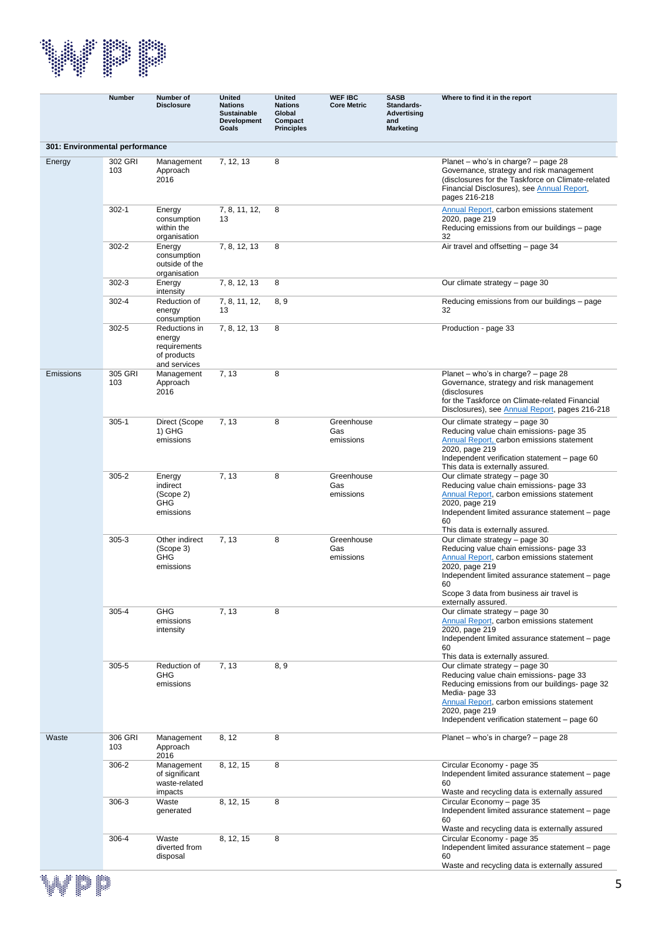

|                                | <b>Number</b>  | Number of<br><b>Disclosure</b>                                         | <b>United</b><br><b>Nations</b><br><b>Sustainable</b><br>Development<br>Goals | <b>United</b><br><b>Nations</b><br>Global<br>Compact<br><b>Principles</b> | <b>WEF IBC</b><br><b>Core Metric</b> | <b>SASB</b><br>Standards-<br><b>Advertising</b><br>and<br><b>Marketing</b> | Where to find it in the report                                                                                                                                                                                                                                                                          |
|--------------------------------|----------------|------------------------------------------------------------------------|-------------------------------------------------------------------------------|---------------------------------------------------------------------------|--------------------------------------|----------------------------------------------------------------------------|---------------------------------------------------------------------------------------------------------------------------------------------------------------------------------------------------------------------------------------------------------------------------------------------------------|
| 301: Environmental performance |                |                                                                        |                                                                               |                                                                           |                                      |                                                                            |                                                                                                                                                                                                                                                                                                         |
| Energy                         | 302 GRI<br>103 | Management<br>Approach<br>2016                                         | 7, 12, 13                                                                     | 8                                                                         |                                      |                                                                            | Planet – who's in charge? – page 28<br>Governance, strategy and risk management<br>(disclosures for the Taskforce on Climate-related<br>Financial Disclosures), see Annual Report,<br>pages 216-218                                                                                                     |
|                                | $302 - 1$      | Energy<br>consumption<br>within the<br>organisation                    | 7, 8, 11, 12,<br>13                                                           | 8                                                                         |                                      |                                                                            | Annual Report, carbon emissions statement<br>2020, page 219<br>Reducing emissions from our buildings – page<br>32                                                                                                                                                                                       |
|                                | $302 - 2$      | Energy<br>consumption<br>outside of the<br>organisation                | 7, 8, 12, 13                                                                  | 8                                                                         |                                      |                                                                            | Air travel and offsetting - page 34                                                                                                                                                                                                                                                                     |
|                                | $302 - 3$      | Energy<br>intensity                                                    | 7, 8, 12, 13                                                                  | 8                                                                         |                                      |                                                                            | Our climate strategy – page 30                                                                                                                                                                                                                                                                          |
|                                | $302 - 4$      | Reduction of<br>energy<br>consumption                                  | 7, 8, 11, 12,<br>13                                                           | 8, 9                                                                      |                                      |                                                                            | Reducing emissions from our buildings – page<br>32                                                                                                                                                                                                                                                      |
|                                | $302 - 5$      | Reductions in<br>energy<br>requirements<br>of products<br>and services | 7, 8, 12, 13                                                                  | 8                                                                         |                                      |                                                                            | Production - page 33                                                                                                                                                                                                                                                                                    |
| Emissions                      | 305 GRI<br>103 | Management<br>Approach<br>2016                                         | 7, 13                                                                         | 8                                                                         |                                      |                                                                            | Planet - who's in charge? - page 28<br>Governance, strategy and risk management<br>(disclosures<br>for the Taskforce on Climate-related Financial<br>Disclosures), see Annual Report, pages 216-218                                                                                                     |
|                                | $305 - 1$      | Direct (Scope<br>1) GHG<br>emissions                                   | 7, 13                                                                         | 8                                                                         | Greenhouse<br>Gas<br>emissions       |                                                                            | Our climate strategy - page 30<br>Reducing value chain emissions- page 35<br>Annual Report, carbon emissions statement<br>2020, page 219<br>Independent verification statement - page 60<br>This data is externally assured.                                                                            |
|                                | $305 - 2$      | Energy<br>indirect<br>(Scope 2)<br><b>GHG</b><br>emissions             | 7, 13                                                                         | 8                                                                         | Greenhouse<br>Gas<br>emissions       |                                                                            | Our climate strategy - page 30<br>Reducing value chain emissions- page 33<br>Annual Report, carbon emissions statement<br>2020, page 219<br>Independent limited assurance statement - page<br>60                                                                                                        |
|                                | $305 - 3$      | Other indirect<br>(Scope 3)<br><b>GHG</b><br>emissions                 | 7, 13                                                                         | 8                                                                         | Greenhouse<br>Gas<br>emissions       |                                                                            | This data is externally assured.<br>Our climate strategy - page 30<br>Reducing value chain emissions- page 33<br>Annual Report, carbon emissions statement<br>2020, page 219<br>Independent limited assurance statement - page<br>60<br>Scope 3 data from business air travel is<br>externally assured. |
|                                | 305-4          | <b>GHG</b><br>emissions<br>intensity                                   | 7, 13                                                                         | 8                                                                         |                                      |                                                                            | Our climate strategy - page 30<br>Annual Report, carbon emissions statement<br>2020, page 219<br>Independent limited assurance statement - page<br>60<br>This data is externally assured.                                                                                                               |
|                                | $305 - 5$      | Reduction of<br>GHG<br>emissions                                       | 7, 13                                                                         | 8, 9                                                                      |                                      |                                                                            | Our climate strategy - page 30<br>Reducing value chain emissions- page 33<br>Reducing emissions from our buildings- page 32<br>Media- page 33<br>Annual Report, carbon emissions statement<br>2020, page 219<br>Independent verification statement - page 60                                            |
| Waste                          | 306 GRI<br>103 | Management<br>Approach<br>2016                                         | 8, 12                                                                         | 8                                                                         |                                      |                                                                            | Planet – who's in charge? – page 28                                                                                                                                                                                                                                                                     |
|                                | $306 - 2$      | Management<br>of significant<br>waste-related<br>impacts               | 8, 12, 15                                                                     | 8                                                                         |                                      |                                                                            | Circular Economy - page 35<br>Independent limited assurance statement - page<br>60<br>Waste and recycling data is externally assured                                                                                                                                                                    |
|                                | $306-3$        | Waste<br>generated                                                     | 8, 12, 15                                                                     | 8                                                                         |                                      |                                                                            | Circular Economy - page 35<br>Independent limited assurance statement - page<br>60<br>Waste and recycling data is externally assured                                                                                                                                                                    |
|                                | 306-4          | Waste<br>diverted from<br>disposal                                     | 8, 12, 15                                                                     | 8                                                                         |                                      |                                                                            | Circular Economy - page 35<br>Independent limited assurance statement - page<br>60<br>Waste and recycling data is externally assured                                                                                                                                                                    |

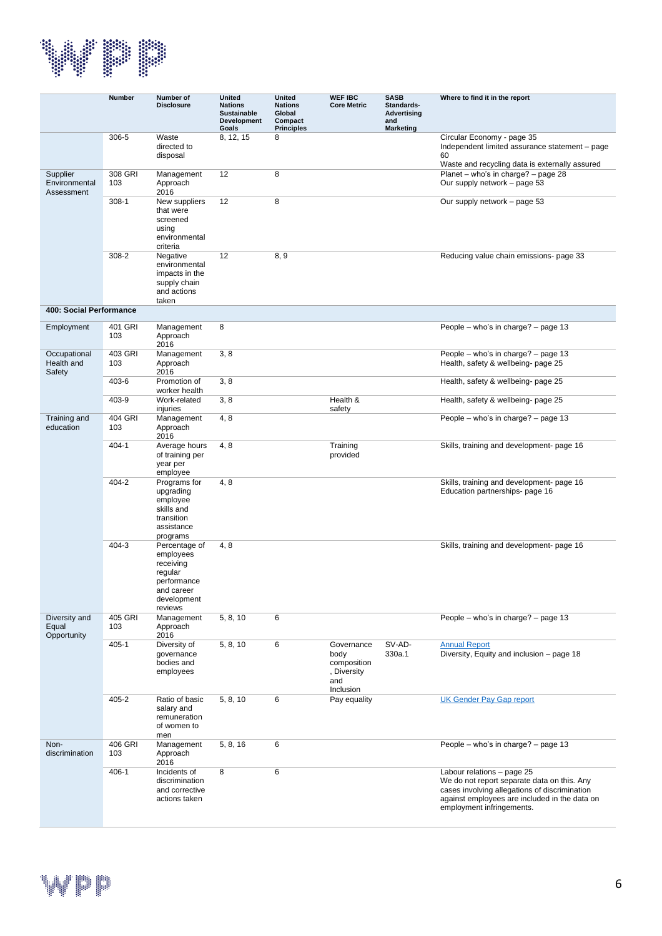

|                                         | <b>Number</b>  | Number of<br><b>Disclosure</b>                                                                            | <b>United</b><br><b>Nations</b><br><b>Sustainable</b><br><b>Development</b><br>Goals | <b>United</b><br><b>Nations</b><br>Global<br>Compact<br><b>Principles</b> | <b>WEF IBC</b><br><b>Core Metric</b>                                 | <b>SASB</b><br>Standards-<br><b>Advertising</b><br>and<br>Marketing | Where to find it in the report                                                                                                                                                                           |
|-----------------------------------------|----------------|-----------------------------------------------------------------------------------------------------------|--------------------------------------------------------------------------------------|---------------------------------------------------------------------------|----------------------------------------------------------------------|---------------------------------------------------------------------|----------------------------------------------------------------------------------------------------------------------------------------------------------------------------------------------------------|
|                                         | 306-5          | Waste<br>directed to<br>disposal                                                                          | 8, 12, 15                                                                            | 8                                                                         |                                                                      |                                                                     | Circular Economy - page 35<br>Independent limited assurance statement - page<br>60<br>Waste and recycling data is externally assured                                                                     |
| Supplier<br>Environmental<br>Assessment | 308 GRI<br>103 | Management<br>Approach<br>2016                                                                            | 12                                                                                   | 8                                                                         |                                                                      |                                                                     | Planet - who's in charge? - page 28<br>Our supply network - page 53                                                                                                                                      |
|                                         | $308-1$        | New suppliers<br>that were<br>screened<br>using<br>environmental<br>criteria                              | 12                                                                                   | 8                                                                         |                                                                      |                                                                     | Our supply network - page 53                                                                                                                                                                             |
|                                         | 308-2          | Negative<br>environmental<br>impacts in the<br>supply chain<br>and actions<br>taken                       | 12                                                                                   | 8, 9                                                                      |                                                                      |                                                                     | Reducing value chain emissions- page 33                                                                                                                                                                  |
| 400: Social Performance                 |                |                                                                                                           |                                                                                      |                                                                           |                                                                      |                                                                     |                                                                                                                                                                                                          |
| Employment                              | 401 GRI<br>103 | Management<br>Approach<br>2016                                                                            | 8                                                                                    |                                                                           |                                                                      |                                                                     | People – who's in charge? – page 13                                                                                                                                                                      |
| Occupational<br>Health and<br>Safety    | 403 GRI<br>103 | Management<br>Approach<br>2016                                                                            | 3, 8                                                                                 |                                                                           |                                                                      |                                                                     | People - who's in charge? - page 13<br>Health, safety & wellbeing- page 25                                                                                                                               |
|                                         | 403-6          | Promotion of<br>worker health                                                                             | 3, 8                                                                                 |                                                                           |                                                                      |                                                                     | Health, safety & wellbeing- page 25                                                                                                                                                                      |
|                                         | 403-9          | Work-related<br>injuries                                                                                  | 3, 8                                                                                 |                                                                           | Health &<br>safety                                                   |                                                                     | Health, safety & wellbeing- page 25                                                                                                                                                                      |
| Training and<br>education               | 404 GRI<br>103 | Management<br>Approach<br>2016                                                                            | 4, 8                                                                                 |                                                                           |                                                                      |                                                                     | People – who's in charge? – page 13                                                                                                                                                                      |
|                                         | $404 - 1$      | Average hours<br>of training per<br>year per<br>employee                                                  | 4, 8                                                                                 |                                                                           | Training<br>provided                                                 |                                                                     | Skills, training and development- page 16                                                                                                                                                                |
|                                         | 404-2          | Programs for<br>upgrading<br>employee<br>skills and<br>transition<br>assistance<br>programs               | 4, 8                                                                                 |                                                                           |                                                                      |                                                                     | Skills, training and development- page 16<br>Education partnerships- page 16                                                                                                                             |
|                                         | $404 - 3$      | Percentage of<br>employees<br>receiving<br>regular<br>performance<br>and career<br>development<br>reviews | 4, 8                                                                                 |                                                                           |                                                                      |                                                                     | Skills, training and development- page 16                                                                                                                                                                |
| Diversity and<br>Equal<br>Opportunity   | 405 GRI<br>103 | Management<br>Approach<br>2016                                                                            | 5, 8, 10                                                                             | 6                                                                         |                                                                      |                                                                     | People – who's in charge? – page 13                                                                                                                                                                      |
|                                         | $405 - 1$      | Diversity of<br>qovernance<br>bodies and<br>employees                                                     | 5, 8, 10                                                                             | 6                                                                         | Governance<br>body<br>composition<br>, Diversity<br>and<br>Inclusion | SV-AD-<br>330a.1                                                    | <b>Annual Report</b><br>Diversity, Equity and inclusion - page 18                                                                                                                                        |
|                                         | 405-2          | Ratio of basic<br>salary and<br>remuneration<br>of women to<br>men                                        | 5, 8, 10                                                                             | 6                                                                         | Pay equality                                                         |                                                                     | <b>UK Gender Pay Gap report</b>                                                                                                                                                                          |
| Non-<br>discrimination                  | 406 GRI<br>103 | Management<br>Approach<br>2016                                                                            | 5, 8, 16                                                                             | 6                                                                         |                                                                      |                                                                     | People – who's in charge? – page 13                                                                                                                                                                      |
|                                         | $406 - 1$      | Incidents of<br>discrimination<br>and corrective<br>actions taken                                         | 8                                                                                    | 6                                                                         |                                                                      |                                                                     | Labour relations - page 25<br>We do not report separate data on this. Any<br>cases involving allegations of discrimination<br>against employees are included in the data on<br>employment infringements. |

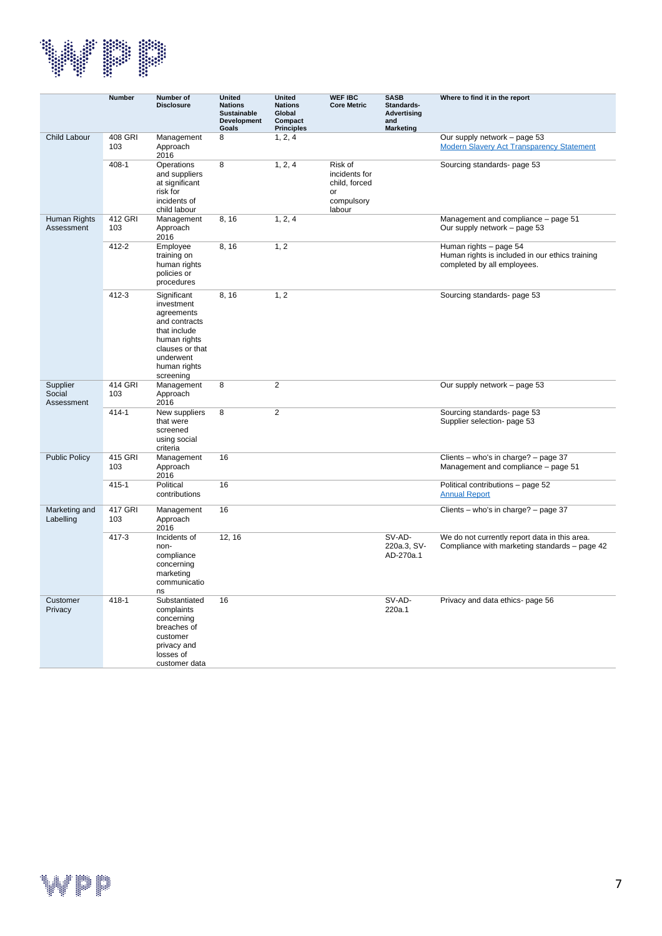

|                                   | <b>Number</b>  | Number of<br><b>Disclosure</b>                                                                                                                        | <b>United</b><br><b>Nations</b><br><b>Sustainable</b><br><b>Development</b><br>Goals | <b>United</b><br><b>Nations</b><br>Global<br>Compact<br><b>Principles</b> | <b>WEF IBC</b><br><b>Core Metric</b>                                    | <b>SASB</b><br>Standards-<br>Advertising<br>and<br><b>Marketing</b> | Where to find it in the report                                                                           |
|-----------------------------------|----------------|-------------------------------------------------------------------------------------------------------------------------------------------------------|--------------------------------------------------------------------------------------|---------------------------------------------------------------------------|-------------------------------------------------------------------------|---------------------------------------------------------------------|----------------------------------------------------------------------------------------------------------|
| Child Labour                      | 408 GRI<br>103 | Management<br>Approach<br>2016                                                                                                                        | 8                                                                                    | 1, 2, 4                                                                   |                                                                         |                                                                     | Our supply network - page 53<br><b>Modern Slavery Act Transparency Statement</b>                         |
|                                   | $408 - 1$      | Operations<br>and suppliers<br>at significant<br>risk for<br>incidents of<br>child labour                                                             | 8                                                                                    | 1, 2, 4                                                                   | Risk of<br>incidents for<br>child, forced<br>or<br>compulsory<br>labour |                                                                     | Sourcing standards- page 53                                                                              |
| <b>Human Rights</b><br>Assessment | 412 GRI<br>103 | Management<br>Approach<br>2016                                                                                                                        | 8, 16                                                                                | 1, 2, 4                                                                   |                                                                         |                                                                     | Management and compliance - page 51<br>Our supply network - page 53                                      |
|                                   | 412-2          | Employee<br>training on<br>human rights<br>policies or<br>procedures                                                                                  | 8, 16                                                                                | 1, 2                                                                      |                                                                         |                                                                     | Human rights - page 54<br>Human rights is included in our ethics training<br>completed by all employees. |
|                                   | $412 - 3$      | Significant<br>investment<br>agreements<br>and contracts<br>that include<br>human rights<br>clauses or that<br>underwent<br>human rights<br>screening | 8, 16                                                                                | 1, 2                                                                      |                                                                         |                                                                     | Sourcing standards- page 53                                                                              |
| Supplier<br>Social<br>Assessment  | 414 GRI<br>103 | Management<br>Approach<br>2016                                                                                                                        | 8                                                                                    | $\overline{2}$                                                            |                                                                         |                                                                     | Our supply network - page 53                                                                             |
|                                   | $414 - 1$      | New suppliers<br>that were<br>screened<br>using social<br>criteria                                                                                    | 8                                                                                    | $\overline{2}$                                                            |                                                                         |                                                                     | Sourcing standards- page 53<br>Supplier selection- page 53                                               |
| <b>Public Policy</b>              | 415 GRI<br>103 | Management<br>Approach<br>2016                                                                                                                        | 16                                                                                   |                                                                           |                                                                         |                                                                     | Clients - who's in charge? - page 37<br>Management and compliance - page 51                              |
|                                   | $415 - 1$      | Political<br>contributions                                                                                                                            | 16                                                                                   |                                                                           |                                                                         |                                                                     | Political contributions - page 52<br><b>Annual Report</b>                                                |
| Marketing and<br>Labelling        | 417 GRI<br>103 | Management<br>Approach<br>2016                                                                                                                        | 16                                                                                   |                                                                           |                                                                         |                                                                     | Clients – who's in charge? – page 37                                                                     |
|                                   | $417 - 3$      | Incidents of<br>non-<br>compliance<br>concerning<br>marketing<br>communicatio<br>ns                                                                   | 12, 16                                                                               |                                                                           |                                                                         | SV-AD-<br>220a.3, SV-<br>AD-270a.1                                  | We do not currently report data in this area.<br>Compliance with marketing standards - page 42           |
| Customer<br>Privacy               | $418 - 1$      | Substantiated<br>complaints<br>concerning<br>breaches of<br>customer<br>privacy and<br>losses of<br>customer data                                     | 16                                                                                   |                                                                           |                                                                         | SV-AD-<br>220a.1                                                    | Privacy and data ethics- page 56                                                                         |